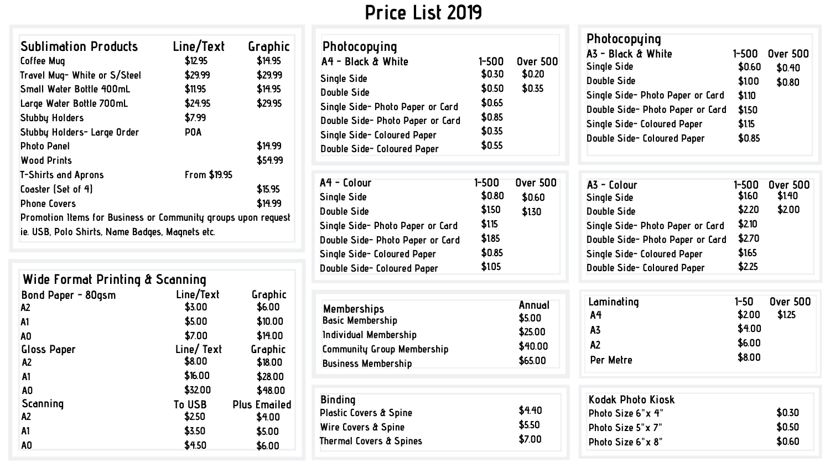# **Price List 2019**

| Photocopying<br>A4 - Black & White<br><b>Single Side</b><br>Double Side<br>Single Side- Photo Paper or Card<br>Double Side- Photo Paper or Card<br>Single Side- Coloured Paper<br>Double Side- Coloured Paper | $1 - 500$<br>\$0.30<br>\$0.50<br>\$0.65<br>\$0.85<br>\$0.35<br>\$0.55 | <b>Over 500</b><br>\$0.20<br>\$0.35               | Photocopying<br>A3 - Black & White<br>1–500<br>Single Side<br>\$0.60<br>Double Side<br>\$1.00<br>Single Side- Photo Paper or Card<br>\$1.10<br>\$1.50<br>Double Side- Photo Paper or Card<br>Single Side- Coloured Paper<br>\$115<br>\$0.85<br>Double Side- Coloured Paper | <b>Over 500</b><br>\$0.40<br>\$0.80 |
|---------------------------------------------------------------------------------------------------------------------------------------------------------------------------------------------------------------|-----------------------------------------------------------------------|---------------------------------------------------|----------------------------------------------------------------------------------------------------------------------------------------------------------------------------------------------------------------------------------------------------------------------------|-------------------------------------|
| A4 - Colour<br>Single Side<br>Double Side<br>Single Side- Photo Paper or Card<br>Double Side- Photo Paper or Card<br>Single Side- Coloured Paper<br>Double Side- Coloured Paper                               | 1-500<br>\$0.80<br>\$1.50<br>\$115<br>\$1.85<br>\$0.85<br>\$1.05      | <b>Over 500</b><br>\$0.60<br>\$1.30               | A3 - Colour<br>$1 - 500$<br>\$160<br>Single Side<br>\$2.20<br>Double Side<br>\$2.10<br>Single Side- Photo Paper or Card<br>\$2.70<br>Double Side- Photo Paper or Card<br>\$165<br>Single Side- Coloured Paper<br>\$2.25<br>Double Side- Coloured Paper                     | <b>Over 500</b><br>\$1.40<br>\$2.00 |
| <b>Memberships</b><br><b>Basic Membership</b><br>Individual Membership<br>Community Group Membership<br><b>Business Membership</b>                                                                            |                                                                       | Annual<br>\$5.00<br>\$25.00<br>\$40.00<br>\$65.00 | Laminating<br>$1 - 50$<br>\$2.00<br>A4<br>\$4.00<br>A3<br>\$6.00<br>A <sub>2</sub><br>\$8.00<br>Per Metre                                                                                                                                                                  | <b>Over 500</b><br>\$1.25           |
| <b>Binding</b><br>Plastic Covers & Spine<br>Wire Covers & Spine<br>Thermal Covers & Spines                                                                                                                    |                                                                       | \$4.40<br>\$5.50<br>\$7.00                        | Kodak Photo Kiosk<br>Photo Size 6"x 4"<br>Photo Size 5"x 7"<br>Photo Size 6"x 8"                                                                                                                                                                                           | \$0.30<br>\$0.50<br>\$0.60          |

| Single Side- Coloured Paper | JU.85 |
|-----------------------------|-------|
| Double Side- Coloured Paper | \$105 |
|                             |       |
|                             |       |

| Memberships                |
|----------------------------|
| <b>Basic Membership</b>    |
| Individual Membership      |
| Community Group Membership |
| <b>Business Membership</b> |

| <b>Sublimation Products</b><br><b>Coffee Mug</b><br>Travel Mug- White or S/Steel<br>Small Water Bottle 400mL<br>Large Water Bottle 700mL<br>Stubby Holders<br>Stubby Holders- Large Order<br><b>Photo Panel</b><br><b>Wood Prints</b><br><b>T-Shirts and Aprons</b> | Line/Text<br>\$12.95<br>\$29.99<br>\$11.95<br>\$24.95<br>\$7.99<br><b>POA</b><br>From \$19.95 | Graphic<br>\$14.95<br>\$29.99<br>\$14.95<br>\$29.95<br>\$14.99<br>\$54.99 |  |
|---------------------------------------------------------------------------------------------------------------------------------------------------------------------------------------------------------------------------------------------------------------------|-----------------------------------------------------------------------------------------------|---------------------------------------------------------------------------|--|
| Coaster (Set of 4)                                                                                                                                                                                                                                                  |                                                                                               | \$15.95                                                                   |  |
| <b>Phone Covers</b>                                                                                                                                                                                                                                                 |                                                                                               | \$14.99                                                                   |  |
| Promotion Items for Business or Community groups upon request<br>ie. USB, Polo Shirts, Name Badges, Magnets etc.                                                                                                                                                    |                                                                                               |                                                                           |  |

| Wide Format Printing & Scanning |               |                     |
|---------------------------------|---------------|---------------------|
| Bond Paper - 80qsm              | Line/Text     | Graphic             |
| A <sub>2</sub>                  | \$3.00        | \$6.00              |
| A <sub>1</sub>                  | \$5.00        | \$10.00             |
| A <sub>0</sub>                  | \$7.00        | \$14.00             |
| <b>Gloss Paper</b>              | Line/Text     | Graphic             |
| A <sub>2</sub>                  | \$8.00        | \$18.00             |
| A <sub>1</sub>                  | \$16.00       | \$28.00             |
| A <sub>0</sub>                  | \$32.00       | \$48.00             |
| Scanning                        | <b>To USB</b> | <b>Plus Emailed</b> |
| A2                              | \$2.50        | \$4.00              |
| A <sub>1</sub>                  | \$3.50        | \$5.00              |
| A <sub>0</sub>                  | \$4.50        | \$6.00              |